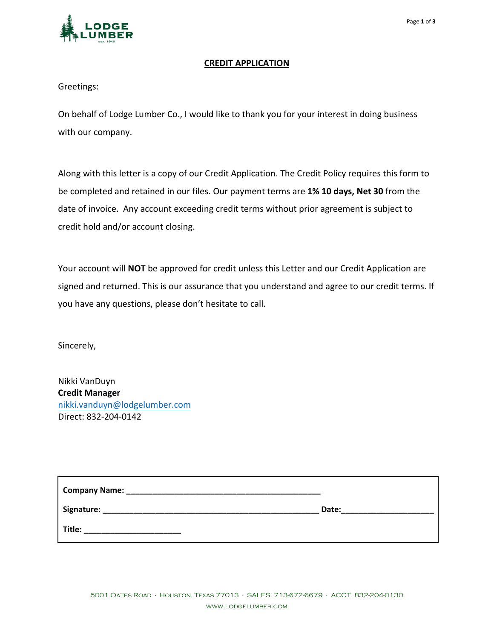

## **CREDIT APPLICATION**

Greetings:

On behalf of Lodge Lumber Co., I would like to thank you for your interest in doing business with our company.

Along with this letter is a copy of our Credit Application. The Credit Policy requires this form to be completed and retained in our files. Our payment terms are **1% 10 days, Net 30** from the date of invoice. Any account exceeding credit terms without prior agreement is subject to credit hold and/or account closing.

Your account will **NOT** be approved for credit unless this Letter and our Credit Application are signed and returned. This is our assurance that you understand and agree to our credit terms. If you have any questions, please don't hesitate to call.

Sincerely,

Nikki VanDuyn **Credit Manager**  nikki.vanduyn[@lodgelumber.com](mailto:Carolyn.Piel@lodgelumber.com) Direct: 832-204-0142

| <b>Company Name:</b> |       |
|----------------------|-------|
| Signature:           | Date: |
| Title:               |       |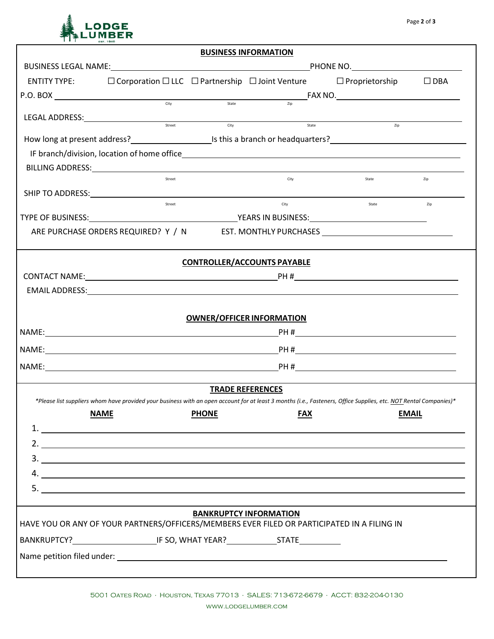## MBER

|                                                                                                                                                                                                                                                                                                                                                                                                                                                                            |        |              | <b>BUSINESS INFORMATION</b>        |                                                                                                                                                                   |              |
|----------------------------------------------------------------------------------------------------------------------------------------------------------------------------------------------------------------------------------------------------------------------------------------------------------------------------------------------------------------------------------------------------------------------------------------------------------------------------|--------|--------------|------------------------------------|-------------------------------------------------------------------------------------------------------------------------------------------------------------------|--------------|
|                                                                                                                                                                                                                                                                                                                                                                                                                                                                            |        |              |                                    |                                                                                                                                                                   |              |
| ENTITY TYPE: □ Corporation □ LLC □ Partnership □ Joint Venture □ Proprietorship □ DBA                                                                                                                                                                                                                                                                                                                                                                                      |        |              |                                    |                                                                                                                                                                   |              |
| $P.O. BOX$ $\overline{\phantom{a}}$ $\overline{\phantom{a}}$ $\overline{\phantom{a}}$ $\overline{\phantom{a}}$ $\overline{\phantom{a}}$ $\overline{\phantom{a}}$ $\overline{\phantom{a}}$ $\overline{\phantom{a}}$ $\overline{\phantom{a}}$ $\overline{\phantom{a}}$ $\overline{\phantom{a}}$ $\overline{\phantom{a}}$ $\overline{\phantom{a}}$ $\overline{\phantom{a}}$ $\overline{\phantom{a}}$ $\overline{\phantom{a}}$ $\overline{\phantom{a}}$ $\overline{\phantom{a$ |        |              |                                    |                                                                                                                                                                   |              |
|                                                                                                                                                                                                                                                                                                                                                                                                                                                                            |        |              |                                    |                                                                                                                                                                   |              |
| LEGAL ADDRESS: SALE AND A Street                                                                                                                                                                                                                                                                                                                                                                                                                                           |        |              | <b>City</b><br>State               | Zip                                                                                                                                                               |              |
| How long at present address?<br><u>Listinia branch</u> or headquarters?<br><u>Listinia branch or headquarters?</u>                                                                                                                                                                                                                                                                                                                                                         |        |              |                                    |                                                                                                                                                                   |              |
|                                                                                                                                                                                                                                                                                                                                                                                                                                                                            |        |              |                                    |                                                                                                                                                                   |              |
|                                                                                                                                                                                                                                                                                                                                                                                                                                                                            |        |              |                                    |                                                                                                                                                                   |              |
|                                                                                                                                                                                                                                                                                                                                                                                                                                                                            | Street |              | City                               | State                                                                                                                                                             | Zip          |
| SHIP TO ADDRESS: North and the series of the series of the series of the series of the series of the series of the series of the series of the series of the series of the series of the series of the series of the series of                                                                                                                                                                                                                                             |        |              |                                    |                                                                                                                                                                   |              |
|                                                                                                                                                                                                                                                                                                                                                                                                                                                                            | Street |              | City                               | State                                                                                                                                                             | Zip          |
|                                                                                                                                                                                                                                                                                                                                                                                                                                                                            |        |              |                                    |                                                                                                                                                                   |              |
|                                                                                                                                                                                                                                                                                                                                                                                                                                                                            |        |              |                                    | ARE PURCHASE ORDERS REQUIRED? Y / N EST. MONTHLY PURCHASES _____________________                                                                                  |              |
|                                                                                                                                                                                                                                                                                                                                                                                                                                                                            |        |              | <b>CONTROLLER/ACCOUNTS PAYABLE</b> |                                                                                                                                                                   |              |
|                                                                                                                                                                                                                                                                                                                                                                                                                                                                            |        |              |                                    |                                                                                                                                                                   |              |
|                                                                                                                                                                                                                                                                                                                                                                                                                                                                            |        |              |                                    |                                                                                                                                                                   |              |
|                                                                                                                                                                                                                                                                                                                                                                                                                                                                            |        |              |                                    |                                                                                                                                                                   |              |
|                                                                                                                                                                                                                                                                                                                                                                                                                                                                            |        |              | <b>OWNER/OFFICER INFORMATION</b>   |                                                                                                                                                                   |              |
|                                                                                                                                                                                                                                                                                                                                                                                                                                                                            |        |              |                                    |                                                                                                                                                                   |              |
|                                                                                                                                                                                                                                                                                                                                                                                                                                                                            |        |              |                                    |                                                                                                                                                                   |              |
|                                                                                                                                                                                                                                                                                                                                                                                                                                                                            |        |              |                                    |                                                                                                                                                                   |              |
|                                                                                                                                                                                                                                                                                                                                                                                                                                                                            |        |              |                                    |                                                                                                                                                                   |              |
|                                                                                                                                                                                                                                                                                                                                                                                                                                                                            |        |              | <b>TRADE REFERENCES</b>            | *Please list suppliers whom have provided your business with an open account for at least 3 months (i.e., Fasteners, Office Supplies, etc. NOT Rental Companies)* |              |
| <b>NAME</b>                                                                                                                                                                                                                                                                                                                                                                                                                                                                |        | <b>PHONE</b> | <b>FAX</b>                         |                                                                                                                                                                   | <b>EMAIL</b> |
| $1.$ $\frac{1}{\sqrt{1-\frac{1}{2}}\sqrt{1-\frac{1}{2}}\sqrt{1-\frac{1}{2}}\sqrt{1-\frac{1}{2}}\sqrt{1-\frac{1}{2}}\sqrt{1-\frac{1}{2}}\sqrt{1-\frac{1}{2}}\sqrt{1-\frac{1}{2}}\sqrt{1-\frac{1}{2}}\sqrt{1-\frac{1}{2}}\sqrt{1-\frac{1}{2}}\sqrt{1-\frac{1}{2}}\sqrt{1-\frac{1}{2}}\sqrt{1-\frac{1}{2}}\sqrt{1-\frac{1}{2}}\sqrt{1-\frac{1}{2}}\sqrt{1-\frac{1}{2}}\sqrt{1-\frac{1}{2}}\sqrt{1-\frac{1}{2}}\$                                                              |        |              |                                    |                                                                                                                                                                   |              |
| 2. $\frac{1}{2}$                                                                                                                                                                                                                                                                                                                                                                                                                                                           |        |              |                                    |                                                                                                                                                                   |              |
| $3.$ $\overline{\phantom{a}}$                                                                                                                                                                                                                                                                                                                                                                                                                                              |        |              |                                    |                                                                                                                                                                   |              |
|                                                                                                                                                                                                                                                                                                                                                                                                                                                                            |        |              |                                    |                                                                                                                                                                   |              |
| $\overline{\phantom{a}}$                                                                                                                                                                                                                                                                                                                                                                                                                                                   |        |              |                                    |                                                                                                                                                                   |              |
|                                                                                                                                                                                                                                                                                                                                                                                                                                                                            |        |              |                                    |                                                                                                                                                                   |              |
| HAVE YOU OR ANY OF YOUR PARTNERS/OFFICERS/MEMBERS EVER FILED OR PARTICIPATED IN A FILING IN                                                                                                                                                                                                                                                                                                                                                                                |        |              | <b>BANKRUPTCY INFORMATION</b>      |                                                                                                                                                                   |              |
|                                                                                                                                                                                                                                                                                                                                                                                                                                                                            |        |              |                                    |                                                                                                                                                                   |              |
|                                                                                                                                                                                                                                                                                                                                                                                                                                                                            |        |              |                                    |                                                                                                                                                                   |              |
|                                                                                                                                                                                                                                                                                                                                                                                                                                                                            |        |              |                                    |                                                                                                                                                                   |              |